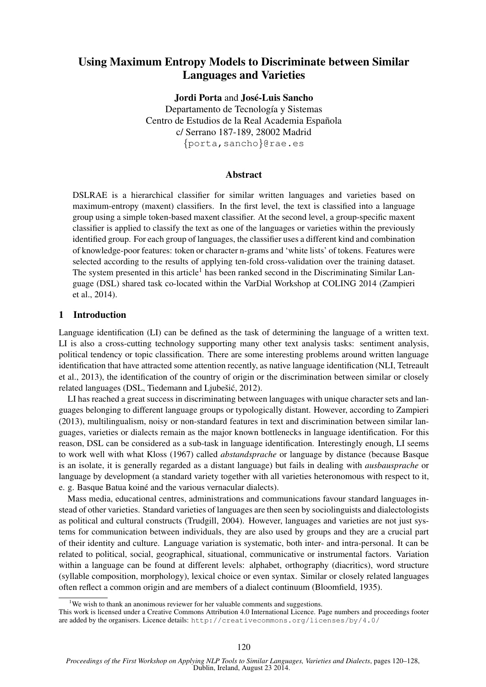# Using Maximum Entropy Models to Discriminate between Similar Languages and Varieties

Jordi Porta and José-Luis Sancho Departamento de Tecnología y Sistemas Centro de Estudios de la Real Academia Española c/ Serrano 187-189, 28002 Madrid {porta,sancho}@rae.es

### Abstract

DSLRAE is a hierarchical classifier for similar written languages and varieties based on maximum-entropy (maxent) classifiers. In the first level, the text is classified into a language group using a simple token-based maxent classifier. At the second level, a group-specific maxent classifier is applied to classify the text as one of the languages or varieties within the previously identified group. For each group of languages, the classifier uses a different kind and combination of knowledge-poor features: token or character n-grams and 'white lists' of tokens. Features were selected according to the results of applying ten-fold cross-validation over the training dataset. The system presented in this article<sup>1</sup> has been ranked second in the Discriminating Similar Language (DSL) shared task co-located within the VarDial Workshop at COLING 2014 (Zampieri et al., 2014).

### 1 Introduction

Language identification (LI) can be defined as the task of determining the language of a written text. LI is also a cross-cutting technology supporting many other text analysis tasks: sentiment analysis, political tendency or topic classification. There are some interesting problems around written language identification that have attracted some attention recently, as native language identification (NLI, Tetreault et al., 2013), the identification of the country of origin or the discrimination between similar or closely related languages (DSL, Tiedemann and Ljubešić, 2012).

LI has reached a great success in discriminating between languages with unique character sets and languages belonging to different language groups or typologically distant. However, according to Zampieri (2013), multilingualism, noisy or non-standard features in text and discrimination between similar languages, varieties or dialects remain as the major known bottlenecks in language identification. For this reason, DSL can be considered as a sub-task in language identification. Interestingly enough, LI seems to work well with what Kloss (1967) called *abstandsprache* or language by distance (because Basque is an isolate, it is generally regarded as a distant language) but fails in dealing with *ausbausprache* or language by development (a standard variety together with all varieties heteronomous with respect to it, e. g. Basque Batua koiné and the various vernacular dialects).

Mass media, educational centres, administrations and communications favour standard languages instead of other varieties. Standard varieties of languages are then seen by sociolinguists and dialectologists as political and cultural constructs (Trudgill, 2004). However, languages and varieties are not just systems for communication between individuals, they are also used by groups and they are a crucial part of their identity and culture. Language variation is systematic, both inter- and intra-personal. It can be related to political, social, geographical, situational, communicative or instrumental factors. Variation within a language can be found at different levels: alphabet, orthography (diacritics), word structure (syllable composition, morphology), lexical choice or even syntax. Similar or closely related languages often reflect a common origin and are members of a dialect continuum (Bloomfield, 1935).

<sup>&</sup>lt;sup>1</sup>We wish to thank an anonimous reviewer for her valuable comments and suggestions.

This work is licensed under a Creative Commons Attribution 4.0 International Licence. Page numbers and proceedings footer are added by the organisers. Licence details: http://creativecommons.org/licenses/by/4.0/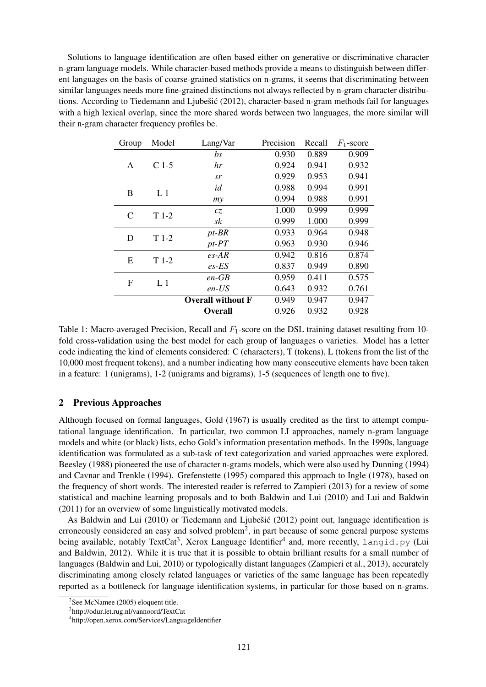Solutions to language identification are often based either on generative or discriminative character n-gram language models. While character-based methods provide a means to distinguish between different languages on the basis of coarse-grained statistics on n-grams, it seems that discriminating between similar languages needs more fine-grained distinctions not always reflected by n-gram character distributions. According to Tiedemann and Ljubešić (2012), character-based n-gram methods fail for languages with a high lexical overlap, since the more shared words between two languages, the more similar will their n-gram character frequency profiles be.

| Group | Model          | Lang/Var                 | Precision | Recall | $F_1$ -score |
|-------|----------------|--------------------------|-----------|--------|--------------|
|       |                | bs                       | 0.930     | 0.889  | 0.909        |
| A     | $C$ 1-5        | hr                       | 0.924     | 0.941  | 0.932        |
|       |                | sr                       | 0.929     | 0.953  | 0.941        |
| B     | L <sub>1</sub> | id                       | 0.988     | 0.994  | 0.991        |
|       |                | my                       | 0.994     | 0.988  | 0.991        |
| C     | $T1-2$         | cz                       | 1.000     | 0.999  | 0.999        |
|       |                | sk                       | 0.999     | 1.000  | 0.999        |
| D     | $T1-2$         | $pt-BR$                  | 0.933     | 0.964  | 0.948        |
|       |                | $pt$ - $PT$              | 0.963     | 0.930  | 0.946        |
| Ε     | $T1-2$         | $es-AR$                  | 0.942     | 0.816  | 0.874        |
|       |                | $es$ -ES                 | 0.837     | 0.949  | 0.890        |
| F     | L <sub>1</sub> | $en$ -GB                 | 0.959     | 0.411  | 0.575        |
|       |                | $en$ -US                 | 0.643     | 0.932  | 0.761        |
|       |                | <b>Overall without F</b> | 0.949     | 0.947  | 0.947        |
|       |                | <b>Overall</b>           | 0.926     | 0.932  | 0.928        |

Table 1: Macro-averaged Precision, Recall and  $F_1$ -score on the DSL training dataset resulting from 10fold cross-validation using the best model for each group of languages o varieties. Model has a letter code indicating the kind of elements considered: C (characters), T (tokens), L (tokens from the list of the 10,000 most frequent tokens), and a number indicating how many consecutive elements have been taken in a feature: 1 (unigrams), 1-2 (unigrams and bigrams), 1-5 (sequences of length one to five).

## 2 Previous Approaches

Although focused on formal languages, Gold (1967) is usually credited as the first to attempt computational language identification. In particular, two common LI approaches, namely n-gram language models and white (or black) lists, echo Gold's information presentation methods. In the 1990s, language identification was formulated as a sub-task of text categorization and varied approaches were explored. Beesley (1988) pioneered the use of character n-grams models, which were also used by Dunning (1994) and Cavnar and Trenkle (1994). Grefenstette (1995) compared this approach to Ingle (1978), based on the frequency of short words. The interested reader is referred to Zampieri (2013) for a review of some statistical and machine learning proposals and to both Baldwin and Lui (2010) and Lui and Baldwin (2011) for an overview of some linguistically motivated models.

As Baldwin and Lui (2010) or Tiedemann and Ljubešić (2012) point out, language identification is erroneously considered an easy and solved problem<sup>2</sup>, in part because of some general purpose systems being available, notably TextCat<sup>3</sup>, Xerox Language Identifier<sup>4</sup> and, more recently, langid.py (Lui and Baldwin, 2012). While it is true that it is possible to obtain brilliant results for a small number of languages (Baldwin and Lui, 2010) or typologically distant languages (Zampieri et al., 2013), accurately discriminating among closely related languages or varieties of the same language has been repeatedly reported as a bottleneck for language identification systems, in particular for those based on n-grams.

<sup>&</sup>lt;sup>2</sup>See McNamee (2005) eloquent title.

<sup>3</sup> http://odur.let.rug.nl/vannoord/TextCat

<sup>4</sup> http://open.xerox.com/Services/LanguageIdentifier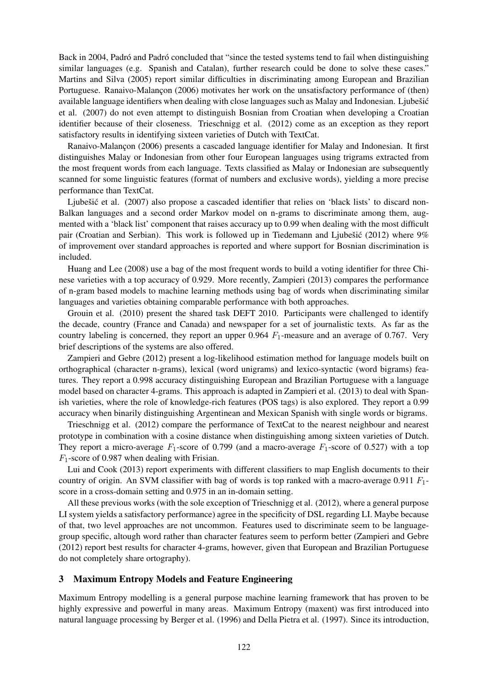Back in 2004, Padró and Padró concluded that "since the tested systems tend to fail when distinguishing similar languages (e.g. Spanish and Catalan), further research could be done to solve these cases." Martins and Silva (2005) report similar difficulties in discriminating among European and Brazilian Portuguese. Ranaivo-Malançon (2006) motivates her work on the unsatisfactory performance of (then) available language identifiers when dealing with close languages such as Malay and Indonesian. Ljubešić et al. (2007) do not even attempt to distinguish Bosnian from Croatian when developing a Croatian identifier because of their closeness. Trieschnigg et al. (2012) come as an exception as they report satisfactory results in identifying sixteen varieties of Dutch with TextCat.

Ranaivo-Malancon (2006) presents a cascaded language identifier for Malay and Indonesian. It first distinguishes Malay or Indonesian from other four European languages using trigrams extracted from the most frequent words from each language. Texts classified as Malay or Indonesian are subsequently scanned for some linguistic features (format of numbers and exclusive words), yielding a more precise performance than TextCat.

Ljubešić et al. (2007) also propose a cascaded identifier that relies on 'black lists' to discard non-Balkan languages and a second order Markov model on n-grams to discriminate among them, augmented with a 'black list' component that raises accuracy up to 0.99 when dealing with the most difficult pair (Croatian and Serbian). This work is followed up in Tiedemann and Ljubešić (2012) where  $9\%$ of improvement over standard approaches is reported and where support for Bosnian discrimination is included.

Huang and Lee (2008) use a bag of the most frequent words to build a voting identifier for three Chinese varieties with a top accuracy of 0.929. More recently, Zampieri (2013) compares the performance of n-gram based models to machine learning methods using bag of words when discriminating similar languages and varieties obtaining comparable performance with both approaches.

Grouin et al. (2010) present the shared task DEFT 2010. Participants were challenged to identify the decade, country (France and Canada) and newspaper for a set of journalistic texts. As far as the country labeling is concerned, they report an upper 0.964  $F_1$ -measure and an average of 0.767. Very brief descriptions of the systems are also offered.

Zampieri and Gebre (2012) present a log-likelihood estimation method for language models built on orthographical (character n-grams), lexical (word unigrams) and lexico-syntactic (word bigrams) features. They report a 0.998 accuracy distinguishing European and Brazilian Portuguese with a language model based on character 4-grams. This approach is adapted in Zampieri et al. (2013) to deal with Spanish varieties, where the role of knowledge-rich features (POS tags) is also explored. They report a 0.99 accuracy when binarily distinguishing Argentinean and Mexican Spanish with single words or bigrams.

Trieschnigg et al. (2012) compare the performance of TextCat to the nearest neighbour and nearest prototype in combination with a cosine distance when distinguishing among sixteen varieties of Dutch. They report a micro-average  $F_1$ -score of 0.799 (and a macro-average  $F_1$ -score of 0.527) with a top  $F_1$ -score of 0.987 when dealing with Frisian.

Lui and Cook (2013) report experiments with different classifiers to map English documents to their country of origin. An SVM classifier with bag of words is top ranked with a macro-average 0.911  $F_1$ score in a cross-domain setting and 0.975 in an in-domain setting.

All these previous works (with the sole exception of Trieschnigg et al. (2012), where a general purpose LI system yields a satisfactory performance) agree in the specificity of DSL regarding LI. Maybe because of that, two level approaches are not uncommon. Features used to discriminate seem to be languagegroup specific, altough word rather than character features seem to perform better (Zampieri and Gebre (2012) report best results for character 4-grams, however, given that European and Brazilian Portuguese do not completely share ortography).

## 3 Maximum Entropy Models and Feature Engineering

Maximum Entropy modelling is a general purpose machine learning framework that has proven to be highly expressive and powerful in many areas. Maximum Entropy (maxent) was first introduced into natural language processing by Berger et al. (1996) and Della Pietra et al. (1997). Since its introduction,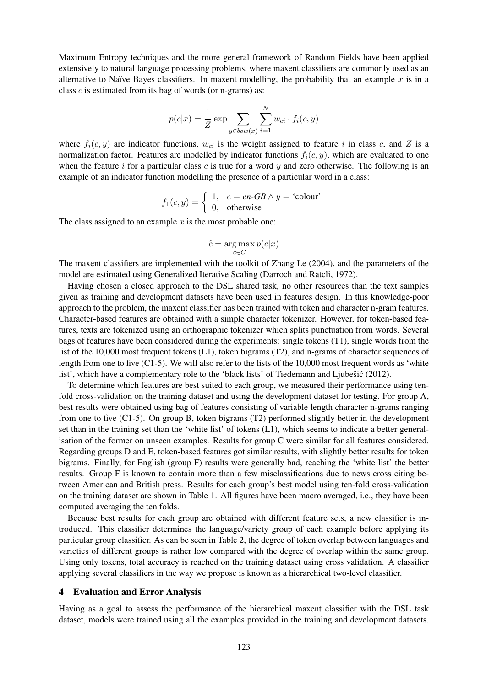Maximum Entropy techniques and the more general framework of Random Fields have been applied extensively to natural language processing problems, where maxent classifiers are commonly used as an alternative to Naïve Bayes classifiers. In maxent modelling, the probability that an example  $x$  is in a class  $c$  is estimated from its bag of words (or n-grams) as:

$$
p(c|x) = \frac{1}{Z} \exp \sum_{y \in bow(x)} \sum_{i=1}^{N} w_{ci} \cdot f_i(c, y)
$$

where  $f_i(c, y)$  are indicator functions,  $w_{ci}$  is the weight assigned to feature i in class c, and Z is a normalization factor. Features are modelled by indicator functions  $f_i(c, y)$ , which are evaluated to one when the feature  $i$  for a particular class  $c$  is true for a word  $y$  and zero otherwise. The following is an example of an indicator function modelling the presence of a particular word in a class:

$$
f_1(c, y) = \begin{cases} 1, & c = en\text{-}GB \land y = \text{`colour'}\\ 0, & \text{otherwise} \end{cases}
$$

The class assigned to an example  $x$  is the most probable one:

$$
\hat{c} = \arg\max_{c \in C} p(c|x)
$$

The maxent classifiers are implemented with the toolkit of Zhang Le (2004), and the parameters of the model are estimated using Generalized Iterative Scaling (Darroch and Ratcli, 1972).

Having chosen a closed approach to the DSL shared task, no other resources than the text samples given as training and development datasets have been used in features design. In this knowledge-poor approach to the problem, the maxent classifier has been trained with token and character n-gram features. Character-based features are obtained with a simple character tokenizer. However, for token-based features, texts are tokenized using an orthographic tokenizer which splits punctuation from words. Several bags of features have been considered during the experiments: single tokens (T1), single words from the list of the 10,000 most frequent tokens (L1), token bigrams (T2), and n-grams of character sequences of length from one to five (C1-5). We will also refer to the lists of the 10,000 most frequent words as 'white list', which have a complementary role to the 'black lists' of Tiedemann and Ljubešić (2012).

To determine which features are best suited to each group, we measured their performance using tenfold cross-validation on the training dataset and using the development dataset for testing. For group A, best results were obtained using bag of features consisting of variable length character n-grams ranging from one to five (C1-5). On group B, token bigrams (T2) performed slightly better in the development set than in the training set than the 'white list' of tokens (L1), which seems to indicate a better generalisation of the former on unseen examples. Results for group C were similar for all features considered. Regarding groups D and E, token-based features got similar results, with slightly better results for token bigrams. Finally, for English (group F) results were generally bad, reaching the 'white list' the better results. Group F is known to contain more than a few misclassifications due to news cross citing between American and British press. Results for each group's best model using ten-fold cross-validation on the training dataset are shown in Table 1. All figures have been macro averaged, i.e., they have been computed averaging the ten folds.

Because best results for each group are obtained with different feature sets, a new classifier is introduced. This classifier determines the language/variety group of each example before applying its particular group classifier. As can be seen in Table 2, the degree of token overlap between languages and varieties of different groups is rather low compared with the degree of overlap within the same group. Using only tokens, total accuracy is reached on the training dataset using cross validation. A classifier applying several classifiers in the way we propose is known as a hierarchical two-level classifier.

#### 4 Evaluation and Error Analysis

Having as a goal to assess the performance of the hierarchical maxent classifier with the DSL task dataset, models were trained using all the examples provided in the training and development datasets.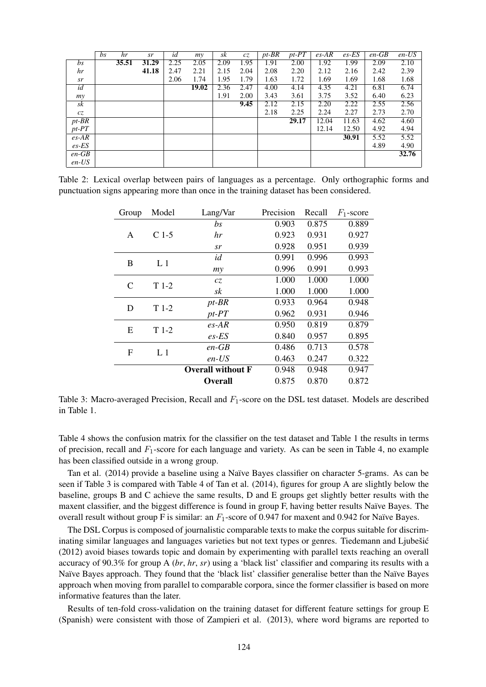|             | bs | hr    | sr    | id   | mv    | sk   | cz   | $pt-BR$ | $pt-PT$ | $es-AR$ | $es$ -ES | $en$ -GB | $en$ -US |
|-------------|----|-------|-------|------|-------|------|------|---------|---------|---------|----------|----------|----------|
| bs          |    | 35.51 | 31.29 | 2.25 | 2.05  | 2.09 | 1.95 | 1.91    | 2.00    | 1.92    | 1.99     | 2.09     | 2.10     |
| hr          |    |       | 41.18 | 2.47 | 2.21  | 2.15 | 2.04 | 2.08    | 2.20    | 2.12    | 2.16     | 2.42     | 2.39     |
| sr          |    |       |       | 2.06 | 1.74  | 1.95 | 1.79 | 1.63    | 1.72    | 1.69    | 1.69     | 1.68     | 1.68     |
| id          |    |       |       |      | 19.02 | 2.36 | 2.47 | 4.00    | 4.14    | 4.35    | 4.21     | 6.81     | 6.74     |
| my          |    |       |       |      |       | 1.91 | 2.00 | 3.43    | 3.61    | 3.75    | 3.52     | 6.40     | 6.23     |
| sk          |    |       |       |      |       |      | 9.45 | 2.12    | 2.15    | 2.20    | 2.22     | 2.55     | 2.56     |
| cz          |    |       |       |      |       |      |      | 2.18    | 2.25    | 2.24    | 2.27     | 2.73     | 2.70     |
| $pt-BR$     |    |       |       |      |       |      |      |         | 29.17   | 12.04   | 11.63    | 4.62     | 4.60     |
| $pt$ - $PT$ |    |       |       |      |       |      |      |         |         | 12.14   | 12.50    | 4.92     | 4.94     |
| $es-AR$     |    |       |       |      |       |      |      |         |         |         | 30.91    | 5.52     | 5.52     |
| $es$ -ES    |    |       |       |      |       |      |      |         |         |         |          | 4.89     | 4.90     |
| $en$ -GB    |    |       |       |      |       |      |      |         |         |         |          |          | 32.76    |
| $en$ -US    |    |       |       |      |       |      |      |         |         |         |          |          |          |

Table 2: Lexical overlap between pairs of languages as a percentage. Only orthographic forms and punctuation signs appearing more than once in the training dataset has been considered.

| Model   | Lang/Var                                             | Precision | Recall | $F_1$ -score |
|---------|------------------------------------------------------|-----------|--------|--------------|
|         | bs                                                   | 0.903     | 0.875  | 0.889        |
| $C$ 1-5 | hr                                                   | 0.923     | 0.931  | 0.927        |
|         | sr                                                   | 0.928     | 0.951  | 0.939        |
|         | id                                                   | 0.991     | 0.996  | 0.993        |
|         | my                                                   | 0.996     | 0.991  | 0.993        |
|         | cz                                                   | 1.000     | 1.000  | 1.000        |
|         | sk                                                   | 1.000     | 1.000  | 1.000        |
| $T1-2$  | $pt-BR$                                              | 0.933     | 0.964  | 0.948        |
|         | $pt$ - $PT$                                          | 0.962     | 0.931  | 0.946        |
|         | $es-AR$                                              | 0.950     | 0.819  | 0.879        |
|         | $es$ -ES                                             | 0.840     | 0.957  | 0.895        |
|         | $en$ -GB                                             | 0.486     | 0.713  | 0.578        |
|         | $en$ -US                                             | 0.463     | 0.247  | 0.322        |
|         | <b>Overall without F</b>                             | 0.948     | 0.948  | 0.947        |
|         | <b>Overall</b>                                       | 0.875     | 0.870  | 0.872        |
|         | L <sub>1</sub><br>$T1-2$<br>$T1-2$<br>L <sub>1</sub> |           |        |              |

Table 3: Macro-averaged Precision, Recall and  $F_1$ -score on the DSL test dataset. Models are described in Table 1.

Table 4 shows the confusion matrix for the classifier on the test dataset and Table 1 the results in terms of precision, recall and  $F_1$ -score for each language and variety. As can be seen in Table 4, no example has been classified outside in a wrong group.

Tan et al. (2014) provide a baseline using a Naïve Bayes classifier on character 5-grams. As can be seen if Table 3 is compared with Table 4 of Tan et al. (2014), figures for group A are slightly below the baseline, groups B and C achieve the same results, D and E groups get slightly better results with the maxent classifier, and the biggest difference is found in group F, having better results Naïve Bayes. The overall result without group F is similar: an  $F_1$ -score of 0.947 for maxent and 0.942 for Naïve Bayes.

The DSL Corpus is composed of journalistic comparable texts to make the corpus suitable for discriminating similar languages and languages varieties but not text types or genres. Tiedemann and Ljubešić (2012) avoid biases towards topic and domain by experimenting with parallel texts reaching an overall accuracy of 90.3% for group A (*br*, *hr*, *sr*) using a 'black list' classifier and comparing its results with a Naïve Bayes approach. They found that the 'black list' classifier generalise better than the Naïve Bayes approach when moving from parallel to comparable corpora, since the former classifier is based on more informative features than the later.

Results of ten-fold cross-validation on the training dataset for different feature settings for group E (Spanish) were consistent with those of Zampieri et al. (2013), where word bigrams are reported to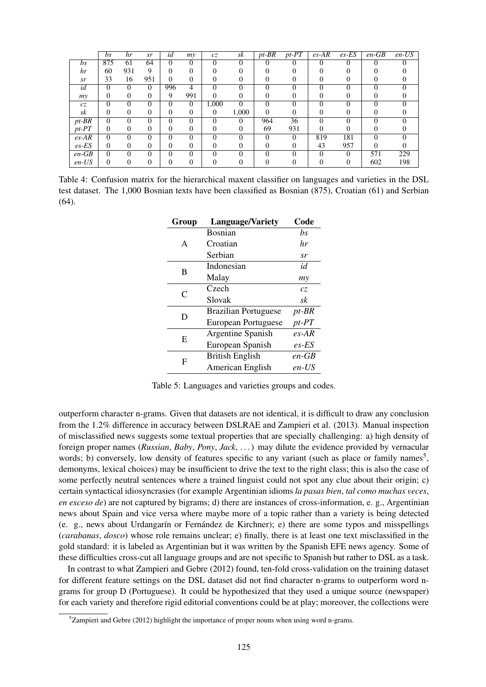|             | bs       | hr       | sr       | id       | mv             | CZ.   | sk       | $pt-BR$  | $pt$ - $PT$ | $\overline{es-AR}$ | $es$ -ES | $en-GB$  | $en$ -US |
|-------------|----------|----------|----------|----------|----------------|-------|----------|----------|-------------|--------------------|----------|----------|----------|
| bs          | 875      | 61       | 64       | $\Omega$ | 0              | 0     | 0        | $\Omega$ | $\theta$    | $\theta$           | 0        | $\theta$ |          |
| hr          | 60       | 931      | 9        |          | 0              |       |          |          |             |                    |          |          |          |
| sr          | 33       | 16       | 951      | $\Omega$ | 0              |       |          |          | O           |                    | $\theta$ | $\theta$ |          |
| id          | $\Omega$ | 0        | 0        | 996      | 4              | 0     |          | $\Omega$ | 0           | 0                  | 0        | 0        |          |
| my          | 0        |          |          | 9        | 991            | 0     |          |          |             |                    | 0        |          |          |
| cz          | $\theta$ | $\Omega$ | $\Omega$ | $\Omega$ | $\overline{0}$ | 1,000 | $\Omega$ | $\Omega$ | 0           | $\Omega$           | $\Omega$ | $\Omega$ | $\Omega$ |
| sk          | 0        | $^{(1)}$ |          | 0        | 0              | 0     | 1,000    | 0        | 0           |                    | $_{0}$   | 0        |          |
| $pt-BR$     | $\theta$ |          | $\Omega$ | $\Omega$ | 0              | 0     | 0        | 964      | 36          | 0                  | 0        | $\Omega$ |          |
| $pt$ - $PT$ | $\theta$ | $\theta$ |          | $\theta$ | 0              | 0     | 0        | 69       | 931         | 0                  | 0        | 0        |          |
| $es-AR$     | $\theta$ | $\Omega$ | $\Omega$ | $\Omega$ | 0              | 0     | $\Omega$ | $\Omega$ | $\Omega$    | 819                | 181      | $\Omega$ | 0        |
| $es$ -ES    | $\theta$ |          |          | $\theta$ | 0              |       |          | 0        | 0           | 43                 | 957      | $\Omega$ |          |
| $en$ -GB    | $\theta$ | $\Omega$ | $\Omega$ | $\Omega$ | 0              | ∩     | $\Omega$ | $\Omega$ | 0           | $\Omega$           | $\Omega$ | 571      | 229      |
| $en$ -US    | $\Omega$ |          |          |          | 0              |       |          |          |             |                    | 0        | 602      | 198      |

Table 4: Confusion matrix for the hierarchical maxent classifier on languages and varieties in the DSL test dataset. The 1,000 Bosnian texts have been classified as Bosnian (875), Croatian (61) and Serbian (64).

| Group | <b>Language/Variety</b>     | Code        |
|-------|-----------------------------|-------------|
|       | <b>Bosnian</b>              | bs          |
| A     | Croatian                    | hr          |
|       | Serbian                     | sr          |
| в     | Indonesian                  | id          |
|       | Malay                       | my          |
| C     | Czech                       | CZ.         |
|       | Slovak                      | sk          |
| D     | <b>Brazilian Portuguese</b> | $pt-BR$     |
|       | <b>European Portuguese</b>  | $pt$ - $PT$ |
| E     | Argentine Spanish           | $es-AR$     |
|       | European Spanish            | $es$ -ES    |
| F     | <b>British English</b>      | $en$ -GB    |
|       | American English            | $en$ -US    |
|       |                             |             |

Table 5: Languages and varieties groups and codes.

outperform character n-grams. Given that datasets are not identical, it is difficult to draw any conclusion from the 1.2% difference in accuracy between DSLRAE and Zampieri et al. (2013). Manual inspection of misclassified news suggests some textual properties that are specially challenging: a) high density of foreign proper names (*Russian*, *Baby*, *Pony*, *Jack*, . . . ) may dilute the evidence provided by vernacular words; b) conversely, low density of features specific to any variant (such as place or family names<sup>5</sup>, demonyms, lexical choices) may be insufficient to drive the text to the right class; this is also the case of some perfectly neutral sentences where a trained linguist could not spot any clue about their origin; c) certain syntactical idiosyncrasies (for example Argentinian idioms *la pasas bien*, *tal como muchas veces*, *en exceso de*) are not captured by bigrams; d) there are instances of cross-information, e. g., Argentinian news about Spain and vice versa where maybe more of a topic rather than a variety is being detected (e. g., news about Urdangar´ın or Fernandez de Kirchner); e) there are some typos and misspellings ´ (*carabanas*, *dosco*) whose role remains unclear; e) finally, there is at least one text misclassified in the gold standard: it is labeled as Argentinian but it was written by the Spanish EFE news agency. Some of these difficulties cross-cut all language groups and are not specific to Spanish but rather to DSL as a task.

In contrast to what Zampieri and Gebre (2012) found, ten-fold cross-validation on the training dataset for different feature settings on the DSL dataset did not find character n-grams to outperform word ngrams for group D (Portuguese). It could be hypothesized that they used a unique source (newspaper) for each variety and therefore rigid editorial conventions could be at play; moreover, the collections were

 $5$ Zampieri and Gebre (2012) highlight the importance of proper nouns when using word n-grams.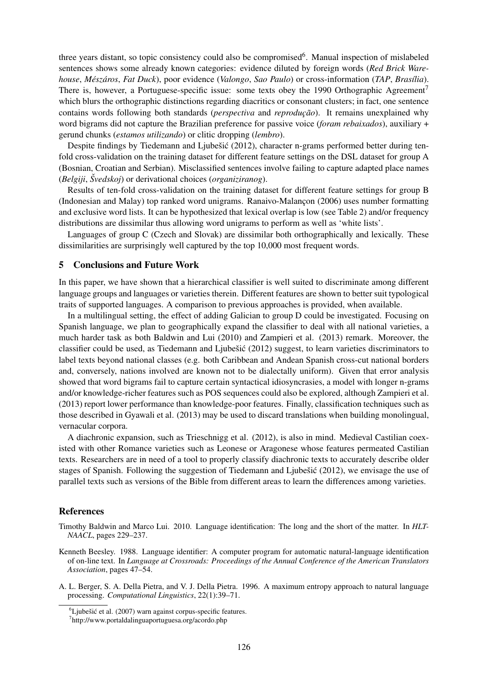three years distant, so topic consistency could also be compromised<sup>6</sup>. Manual inspection of mislabeled sentences shows some already known categories: evidence diluted by foreign words (*Red Brick Warehouse*, *Mesz ´ aros ´* , *Fat Duck*), poor evidence (*Valongo*, *Sao Paulo*) or cross-information (*TAP*, *Bras´ılia*). There is, however, a Portuguese-specific issue: some texts obey the 1990 Orthographic Agreement<sup>7</sup> which blurs the orthographic distinctions regarding diacritics or consonant clusters; in fact, one sentence contains words following both standards *(perspectiva* and *reproducão)*. It remains unexplained why word bigrams did not capture the Brazilian preference for passive voice (*foram rebaixados*), auxiliary + gerund chunks (*estamos utilizando*) or clitic dropping (*lembro*).

Despite findings by Tiedemann and Ljubešić (2012), character n-grams performed better during tenfold cross-validation on the training dataset for different feature settings on the DSL dataset for group A (Bosnian, Croatian and Serbian). Misclassified sentences involve failing to capture adapted place names (*Belgiji*, *Svedskoj ˇ* ) or derivational choices (*organiziranog*).

Results of ten-fold cross-validation on the training dataset for different feature settings for group B (Indonesian and Malay) top ranked word unigrams. Ranaivo-Malancon (2006) uses number formatting and exclusive word lists. It can be hypothesized that lexical overlap is low (see Table 2) and/or frequency distributions are dissimilar thus allowing word unigrams to perform as well as 'white lists'.

Languages of group C (Czech and Slovak) are dissimilar both orthographically and lexically. These dissimilarities are surprisingly well captured by the top 10,000 most frequent words.

# 5 Conclusions and Future Work

In this paper, we have shown that a hierarchical classifier is well suited to discriminate among different language groups and languages or varieties therein. Different features are shown to better suit typological traits of supported languages. A comparison to previous approaches is provided, when available.

In a multilingual setting, the effect of adding Galician to group D could be investigated. Focusing on Spanish language, we plan to geographically expand the classifier to deal with all national varieties, a much harder task as both Baldwin and Lui (2010) and Zampieri et al. (2013) remark. Moreover, the classifier could be used, as Tiedemann and Ljubešić  $(2012)$  suggest, to learn varieties discriminators to label texts beyond national classes (e.g. both Caribbean and Andean Spanish cross-cut national borders and, conversely, nations involved are known not to be dialectally uniform). Given that error analysis showed that word bigrams fail to capture certain syntactical idiosyncrasies, a model with longer n-grams and/or knowledge-richer features such as POS sequences could also be explored, although Zampieri et al. (2013) report lower performance than knowledge-poor features. Finally, classification techniques such as those described in Gyawali et al. (2013) may be used to discard translations when building monolingual, vernacular corpora.

A diachronic expansion, such as Trieschnigg et al. (2012), is also in mind. Medieval Castilian coexisted with other Romance varieties such as Leonese or Aragonese whose features permeated Castilian texts. Researchers are in need of a tool to properly classify diachronic texts to accurately describe older stages of Spanish. Following the suggestion of Tiedemann and Ljubešić  $(2012)$ , we envisage the use of parallel texts such as versions of the Bible from different areas to learn the differences among varieties.

#### References

- Timothy Baldwin and Marco Lui. 2010. Language identification: The long and the short of the matter. In *HLT-NAACL*, pages 229–237.
- Kenneth Beesley. 1988. Language identifier: A computer program for automatic natural-language identification of on-line text. In *Language at Crossroads: Proceedings of the Annual Conference of the American Translators Association*, pages 47–54.
- A. L. Berger, S. A. Della Pietra, and V. J. Della Pietra. 1996. A maximum entropy approach to natural language processing. *Computational Linguistics*, 22(1):39–71.

 ${}^{6}$ Ljubešić et al. (2007) warn against corpus-specific features.

<sup>7</sup> http://www.portaldalinguaportuguesa.org/acordo.php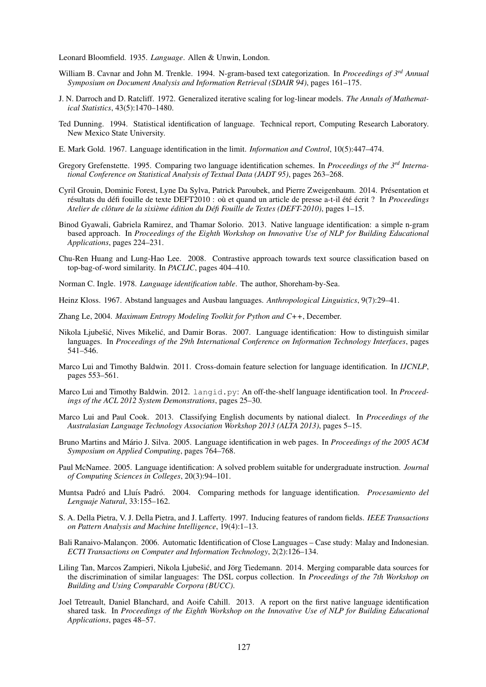Leonard Bloomfield. 1935. *Language*. Allen & Unwin, London.

- William B. Cavnar and John M. Trenkle. 1994. N-gram-based text categorization. In *Proceedings of 3rd Annual Symposium on Document Analysis and Information Retrieval (SDAIR 94)*, pages 161–175.
- J. N. Darroch and D. Ratcliff. 1972. Generalized iterative scaling for log-linear models. *The Annals of Mathematical Statistics*, 43(5):1470–1480.
- Ted Dunning. 1994. Statistical identification of language. Technical report, Computing Research Laboratory. New Mexico State University.
- E. Mark Gold. 1967. Language identification in the limit. *Information and Control*, 10(5):447–474.
- Gregory Grefenstette. 1995. Comparing two language identification schemes. In *Proceedings of the 3rd International Conference on Statistical Analysis of Textual Data (JADT 95)*, pages 263–268.
- Cyril Grouin, Dominic Forest, Lyne Da Sylva, Patrick Paroubek, and Pierre Zweigenbaum. 2014. Presentation et ´ résultats du défi fouille de texte DEFT2010 : où et quand un article de presse a-t-il été écrit ? In *Proceedings Atelier de cloture de la sixi ˆ eme ` edition du D ´ efi Fouille de Textes (DEFT-2010) ´* , pages 1–15.
- Binod Gyawali, Gabriela Ramirez, and Thamar Solorio. 2013. Native language identification: a simple n-gram based approach. In *Proceedings of the Eighth Workshop on Innovative Use of NLP for Building Educational Applications*, pages 224–231.
- Chu-Ren Huang and Lung-Hao Lee. 2008. Contrastive approach towards text source classification based on top-bag-of-word similarity. In *PACLIC*, pages 404–410.

Norman C. Ingle. 1978. *Language identification table*. The author, Shoreham-by-Sea.

- Heinz Kloss. 1967. Abstand languages and Ausbau languages. *Anthropological Linguistics*, 9(7):29–41.
- Zhang Le, 2004. *Maximum Entropy Modeling Toolkit for Python and C++*, December.
- Nikola Ljubešić, Nives Mikelić, and Damir Boras. 2007. Language identification: How to distinguish similar languages. In *Proceedings of the 29th International Conference on Information Technology Interfaces*, pages 541–546.
- Marco Lui and Timothy Baldwin. 2011. Cross-domain feature selection for language identification. In *IJCNLP*, pages 553–561.
- Marco Lui and Timothy Baldwin. 2012. Langid.py: An off-the-shelf language identification tool. In *Proceedings of the ACL 2012 System Demonstrations*, pages 25–30.
- Marco Lui and Paul Cook. 2013. Classifying English documents by national dialect. In *Proceedings of the Australasian Language Technology Association Workshop 2013 (ALTA 2013)*, pages 5–15.
- Bruno Martins and Mário J. Silva. 2005. Language identification in web pages. In Proceedings of the 2005 ACM *Symposium on Applied Computing*, pages 764–768.
- Paul McNamee. 2005. Language identification: A solved problem suitable for undergraduate instruction. *Journal of Computing Sciences in Colleges*, 20(3):94–101.
- Muntsa Padró and Lluís Padró. 2004. Comparing methods for language identification. *Procesamiento del Lenguaje Natural*, 33:155–162.
- S. A. Della Pietra, V. J. Della Pietra, and J. Lafferty. 1997. Inducing features of random fields. *IEEE Transactions on Pattern Analysis and Machine Intelligence*, 19(4):1–13.
- Bali Ranaivo-Malançon. 2006. Automatic Identification of Close Languages Case study: Malay and Indonesian. *ECTI Transactions on Computer and Information Technology*, 2(2):126–134.
- Liling Tan, Marcos Zampieri, Nikola Ljubešić, and Jörg Tiedemann. 2014. Merging comparable data sources for the discrimination of similar languages: The DSL corpus collection. In *Proceedings of the 7th Workshop on Building and Using Comparable Corpora (BUCC)*.
- Joel Tetreault, Daniel Blanchard, and Aoife Cahill. 2013. A report on the first native language identification shared task. In *Proceedings of the Eighth Workshop on the Innovative Use of NLP for Building Educational Applications*, pages 48–57.